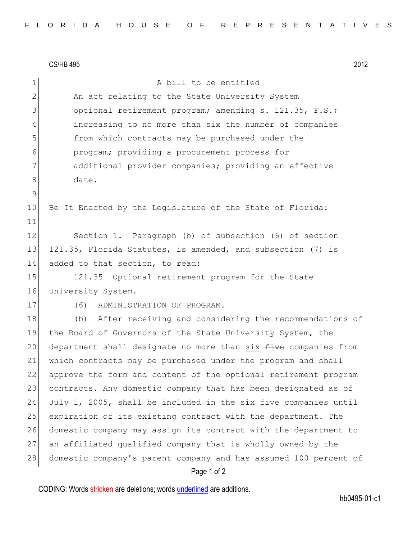CS/HB 495 2012

Page 1 of 2 1 a bill to be entitled 2 An act relating to the State University System 3 optional retirement program; amending s. 121.35, F.S.; 4 increasing to no more than six the number of companies 5 from which contracts may be purchased under the 6 program; providing a procurement process for 7 additional provider companies; providing an effective 8 date. 9 10 Be It Enacted by the Legislature of the State of Florida: 11 12 Section 1. Paragraph (b) of subsection (6) of section 13 121.35, Florida Statutes, is amended, and subsection (7) is 14 added to that section, to read: 15 121.35 Optional retirement program for the State 16 University System.-17 (6) ADMINISTRATION OF PROGRAM. 18 (b) After receiving and considering the recommendations of 19 the Board of Governors of the State University System, the 20 department shall designate no more than six  $f$ ive companies from 21 which contracts may be purchased under the program and shall 22 approve the form and content of the optional retirement program 23 contracts. Any domestic company that has been designated as of 24 July 1, 2005, shall be included in the six  $f$  ive companies until 25 expiration of its existing contract with the department. The 26 domestic company may assign its contract with the department to 27 an affiliated qualified company that is wholly owned by the 28 domestic company's parent company and has assumed 100 percent of

CODING: Words stricken are deletions; words underlined are additions.

hb0495-01-c1